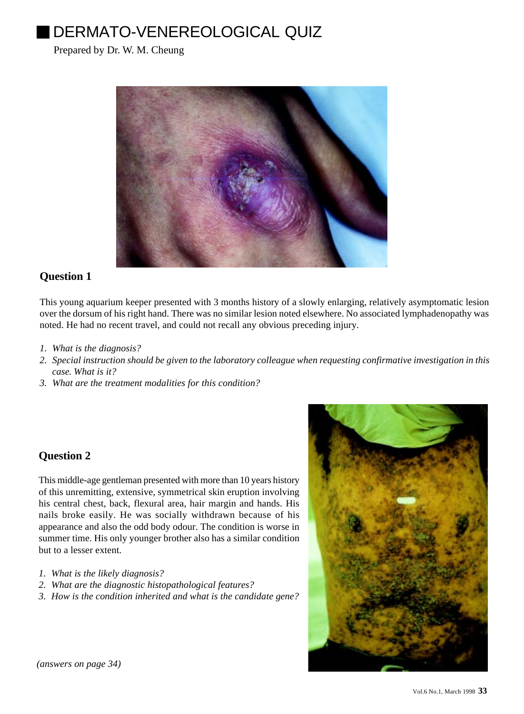# DERMATO-VENEREOLOGICAL QUIZ

Prepared by Dr. W. M. Cheung



### **Question 1**

This young aquarium keeper presented with 3 months history of a slowly enlarging, relatively asymptomatic lesion over the dorsum of his right hand. There was no similar lesion noted elsewhere. No associated lymphadenopathy was noted. He had no recent travel, and could not recall any obvious preceding injury.

- *1. What is the diagnosis?*
- *2. Special instruction should be given to the laboratory colleague when requesting confirmative investigation in this case. What is it?*
- *3. What are the treatment modalities for this condition?*

## **Question 2**

This middle-age gentleman presented with more than 10 years history of this unremitting, extensive, symmetrical skin eruption involving his central chest, back, flexural area, hair margin and hands. His nails broke easily. He was socially withdrawn because of his appearance and also the odd body odour. The condition is worse in summer time. His only younger brother also has a similar condition but to a lesser extent.

- *1. What is the likely diagnosis?*
- *2. What are the diagnostic histopathological features?*
- *3. How is the condition inherited and what is the candidate gene?*



*(answers on page 34)*